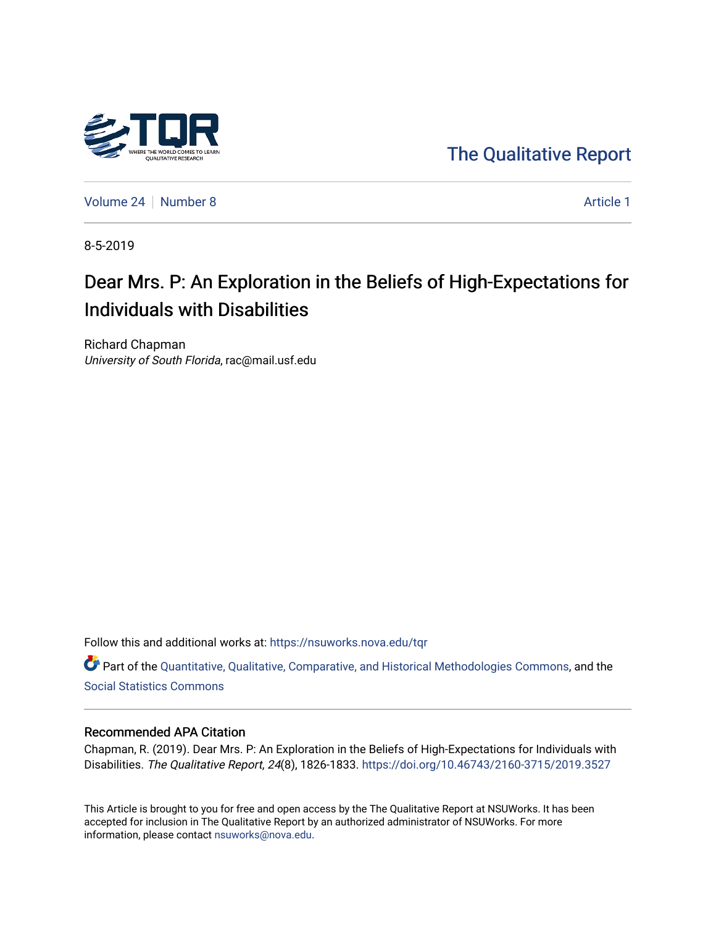

[The Qualitative Report](https://nsuworks.nova.edu/tqr) 

[Volume 24](https://nsuworks.nova.edu/tqr/vol24) [Number 8](https://nsuworks.nova.edu/tqr/vol24/iss8) Article 1

8-5-2019

# Dear Mrs. P: An Exploration in the Beliefs of High-Expectations for Individuals with Disabilities

Richard Chapman University of South Florida, rac@mail.usf.edu

Follow this and additional works at: [https://nsuworks.nova.edu/tqr](https://nsuworks.nova.edu/tqr?utm_source=nsuworks.nova.edu%2Ftqr%2Fvol24%2Fiss8%2F1&utm_medium=PDF&utm_campaign=PDFCoverPages) 

Part of the [Quantitative, Qualitative, Comparative, and Historical Methodologies Commons,](http://network.bepress.com/hgg/discipline/423?utm_source=nsuworks.nova.edu%2Ftqr%2Fvol24%2Fiss8%2F1&utm_medium=PDF&utm_campaign=PDFCoverPages) and the [Social Statistics Commons](http://network.bepress.com/hgg/discipline/1275?utm_source=nsuworks.nova.edu%2Ftqr%2Fvol24%2Fiss8%2F1&utm_medium=PDF&utm_campaign=PDFCoverPages) 

#### Recommended APA Citation

Chapman, R. (2019). Dear Mrs. P: An Exploration in the Beliefs of High-Expectations for Individuals with Disabilities. The Qualitative Report, 24(8), 1826-1833. <https://doi.org/10.46743/2160-3715/2019.3527>

This Article is brought to you for free and open access by the The Qualitative Report at NSUWorks. It has been accepted for inclusion in The Qualitative Report by an authorized administrator of NSUWorks. For more information, please contact [nsuworks@nova.edu.](mailto:nsuworks@nova.edu)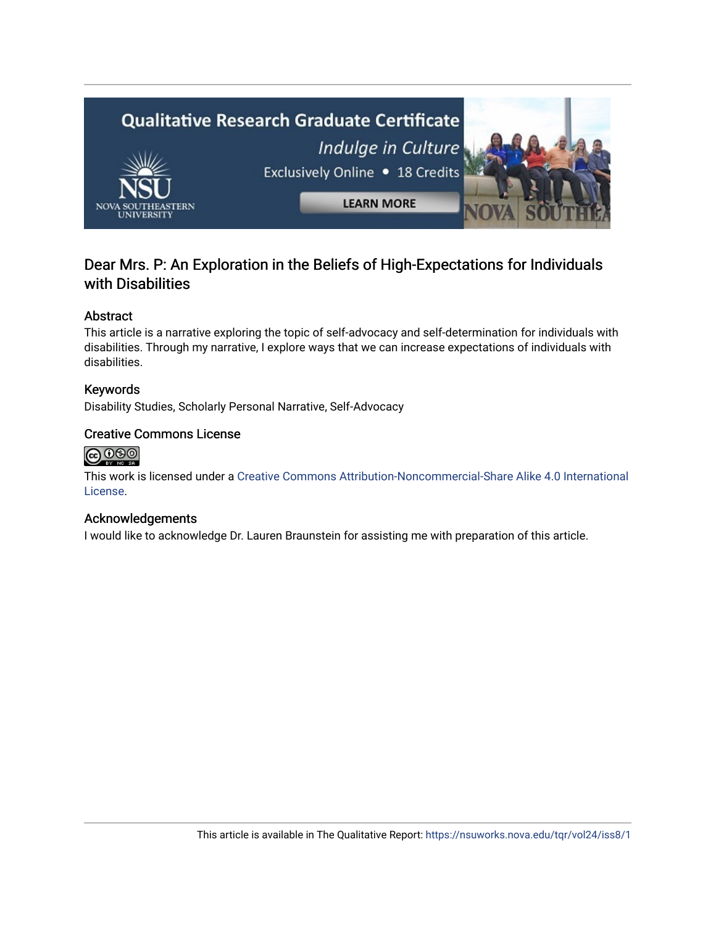

# Dear Mrs. P: An Exploration in the Beliefs of High-Expectations for Individuals with Disabilities

# Abstract

This article is a narrative exploring the topic of self-advocacy and self-determination for individuals with disabilities. Through my narrative, I explore ways that we can increase expectations of individuals with disabilities.

### Keywords

Disability Studies, Scholarly Personal Narrative, Self-Advocacy

# Creative Commons License



This work is licensed under a [Creative Commons Attribution-Noncommercial-Share Alike 4.0 International](https://creativecommons.org/licenses/by-nc-sa/4.0/)  [License](https://creativecommons.org/licenses/by-nc-sa/4.0/).

### Acknowledgements

I would like to acknowledge Dr. Lauren Braunstein for assisting me with preparation of this article.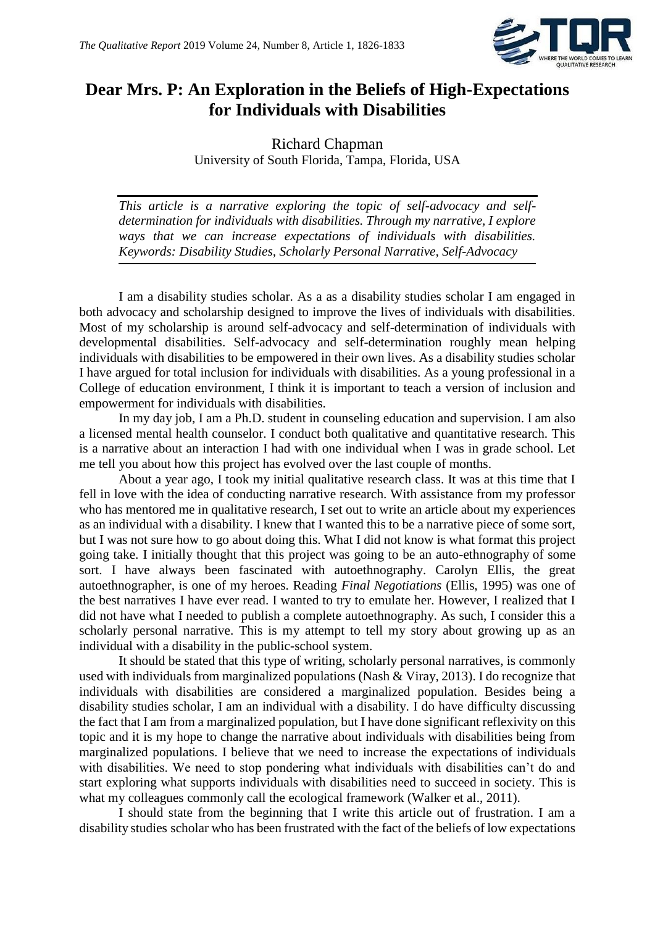

# **Dear Mrs. P: An Exploration in the Beliefs of High-Expectations for Individuals with Disabilities**

Richard Chapman University of South Florida, Tampa, Florida, USA

*This article is a narrative exploring the topic of self-advocacy and selfdetermination for individuals with disabilities. Through my narrative, I explore ways that we can increase expectations of individuals with disabilities. Keywords: Disability Studies, Scholarly Personal Narrative, Self-Advocacy*

I am a disability studies scholar. As a as a disability studies scholar I am engaged in both advocacy and scholarship designed to improve the lives of individuals with disabilities. Most of my scholarship is around self-advocacy and self-determination of individuals with developmental disabilities. Self-advocacy and self-determination roughly mean helping individuals with disabilities to be empowered in their own lives. As a disability studies scholar I have argued for total inclusion for individuals with disabilities. As a young professional in a College of education environment, I think it is important to teach a version of inclusion and empowerment for individuals with disabilities.

In my day job, I am a Ph.D. student in counseling education and supervision. I am also a licensed mental health counselor. I conduct both qualitative and quantitative research. This is a narrative about an interaction I had with one individual when I was in grade school. Let me tell you about how this project has evolved over the last couple of months.

About a year ago, I took my initial qualitative research class. It was at this time that I fell in love with the idea of conducting narrative research. With assistance from my professor who has mentored me in qualitative research, I set out to write an article about my experiences as an individual with a disability. I knew that I wanted this to be a narrative piece of some sort, but I was not sure how to go about doing this. What I did not know is what format this project going take. I initially thought that this project was going to be an auto-ethnography of some sort. I have always been fascinated with autoethnography. Carolyn Ellis, the great autoethnographer, is one of my heroes. Reading *Final Negotiations* (Ellis, 1995) was one of the best narratives I have ever read. I wanted to try to emulate her. However, I realized that I did not have what I needed to publish a complete autoethnography. As such, I consider this a scholarly personal narrative. This is my attempt to tell my story about growing up as an individual with a disability in the public-school system.

It should be stated that this type of writing, scholarly personal narratives, is commonly used with individuals from marginalized populations (Nash & Viray, 2013). I do recognize that individuals with disabilities are considered a marginalized population. Besides being a disability studies scholar, I am an individual with a disability. I do have difficulty discussing the fact that I am from a marginalized population, but I have done significant reflexivity on this topic and it is my hope to change the narrative about individuals with disabilities being from marginalized populations. I believe that we need to increase the expectations of individuals with disabilities. We need to stop pondering what individuals with disabilities can't do and start exploring what supports individuals with disabilities need to succeed in society. This is what my colleagues commonly call the ecological framework (Walker et al., 2011).

I should state from the beginning that I write this article out of frustration. I am a disability studies scholar who has been frustrated with the fact of the beliefs of low expectations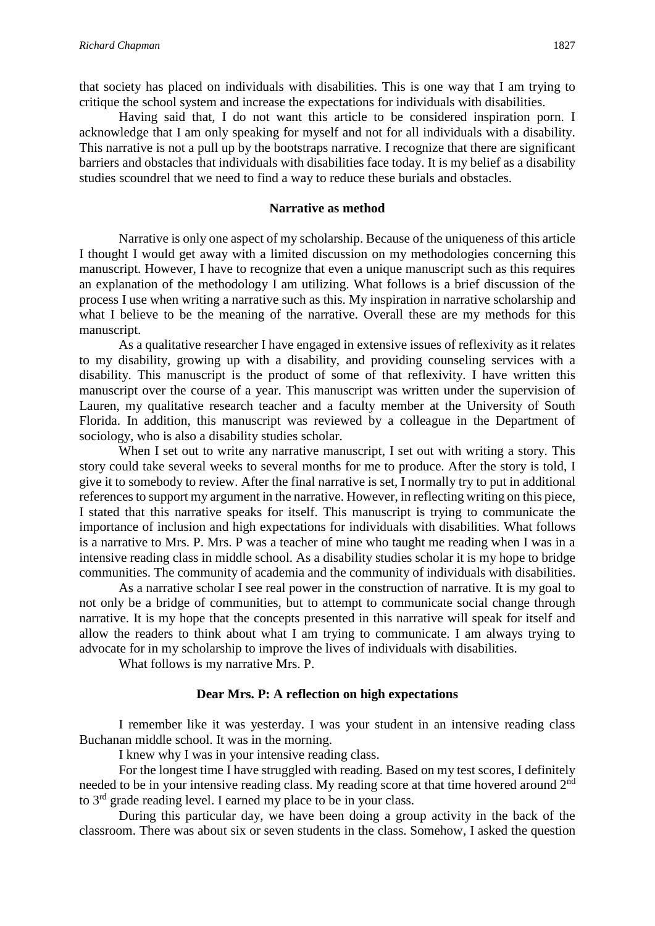that society has placed on individuals with disabilities. This is one way that I am trying to critique the school system and increase the expectations for individuals with disabilities.

Having said that, I do not want this article to be considered inspiration porn. I acknowledge that I am only speaking for myself and not for all individuals with a disability. This narrative is not a pull up by the bootstraps narrative. I recognize that there are significant barriers and obstacles that individuals with disabilities face today. It is my belief as a disability studies scoundrel that we need to find a way to reduce these burials and obstacles.

#### **Narrative as method**

Narrative is only one aspect of my scholarship. Because of the uniqueness of this article I thought I would get away with a limited discussion on my methodologies concerning this manuscript. However, I have to recognize that even a unique manuscript such as this requires an explanation of the methodology I am utilizing. What follows is a brief discussion of the process I use when writing a narrative such as this. My inspiration in narrative scholarship and what I believe to be the meaning of the narrative. Overall these are my methods for this manuscript.

As a qualitative researcher I have engaged in extensive issues of reflexivity as it relates to my disability, growing up with a disability, and providing counseling services with a disability. This manuscript is the product of some of that reflexivity. I have written this manuscript over the course of a year. This manuscript was written under the supervision of Lauren, my qualitative research teacher and a faculty member at the University of South Florida. In addition, this manuscript was reviewed by a colleague in the Department of sociology, who is also a disability studies scholar.

When I set out to write any narrative manuscript, I set out with writing a story. This story could take several weeks to several months for me to produce. After the story is told, I give it to somebody to review. After the final narrative is set, I normally try to put in additional referencesto support my argument in the narrative. However, in reflecting writing on this piece, I stated that this narrative speaks for itself. This manuscript is trying to communicate the importance of inclusion and high expectations for individuals with disabilities. What follows is a narrative to Mrs. P. Mrs. P was a teacher of mine who taught me reading when I was in a intensive reading class in middle school. As a disability studies scholar it is my hope to bridge communities. The community of academia and the community of individuals with disabilities.

As a narrative scholar I see real power in the construction of narrative. It is my goal to not only be a bridge of communities, but to attempt to communicate social change through narrative. It is my hope that the concepts presented in this narrative will speak for itself and allow the readers to think about what I am trying to communicate. I am always trying to advocate for in my scholarship to improve the lives of individuals with disabilities.

What follows is my narrative Mrs. P.

#### **Dear Mrs. P: A reflection on high expectations**

I remember like it was yesterday. I was your student in an intensive reading class Buchanan middle school. It was in the morning.

I knew why I was in your intensive reading class.

For the longest time I have struggled with reading. Based on my test scores, I definitely needed to be in your intensive reading class. My reading score at that time hovered around 2<sup>nd</sup> to 3rd grade reading level. I earned my place to be in your class.

During this particular day, we have been doing a group activity in the back of the classroom. There was about six or seven students in the class. Somehow, I asked the question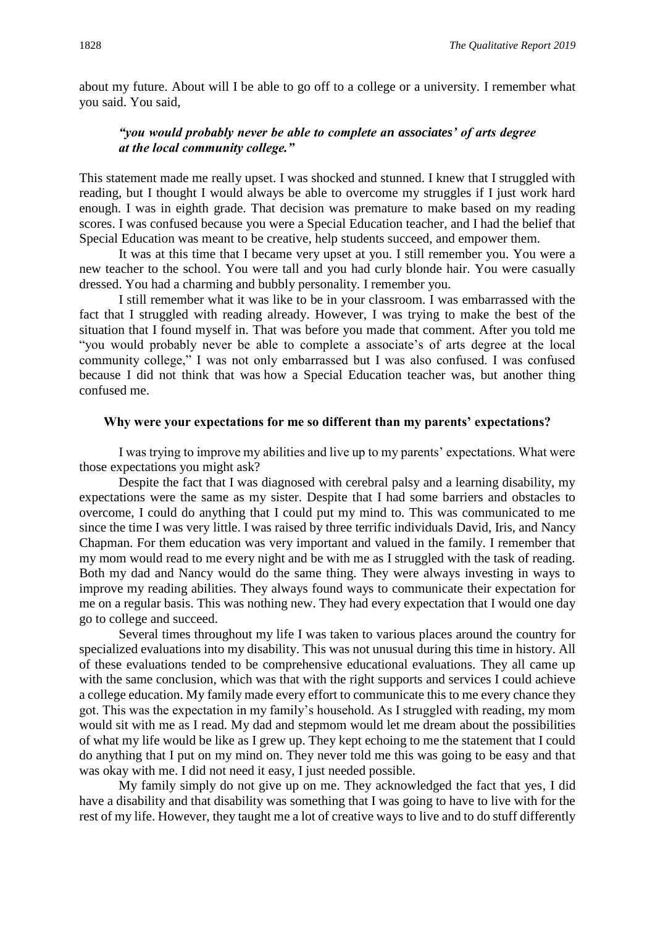about my future. About will I be able to go off to a college or a university. I remember what you said. You said,

# *"you would probably never be able to complete an associates' of arts degree at the local community college."*

This statement made me really upset. I was shocked and stunned. I knew that I struggled with reading, but I thought I would always be able to overcome my struggles if I just work hard enough. I was in eighth grade. That decision was premature to make based on my reading scores. I was confused because you were a Special Education teacher, and I had the belief that Special Education was meant to be creative, help students succeed, and empower them.

It was at this time that I became very upset at you. I still remember you. You were a new teacher to the school. You were tall and you had curly blonde hair. You were casually dressed. You had a charming and bubbly personality. I remember you.

I still remember what it was like to be in your classroom. I was embarrassed with the fact that I struggled with reading already. However, I was trying to make the best of the situation that I found myself in. That was before you made that comment. After you told me "you would probably never be able to complete a associate's of arts degree at the local community college," I was not only embarrassed but I was also confused. I was confused because I did not think that was how a Special Education teacher was, but another thing confused me.

#### **Why were your expectations for me so different than my parents' expectations?**

I was trying to improve my abilities and live up to my parents' expectations. What were those expectations you might ask?

Despite the fact that I was diagnosed with cerebral palsy and a learning disability, my expectations were the same as my sister. Despite that I had some barriers and obstacles to overcome, I could do anything that I could put my mind to. This was communicated to me since the time I was very little. I was raised by three terrific individuals David, Iris, and Nancy Chapman. For them education was very important and valued in the family. I remember that my mom would read to me every night and be with me as I struggled with the task of reading. Both my dad and Nancy would do the same thing. They were always investing in ways to improve my reading abilities. They always found ways to communicate their expectation for me on a regular basis. This was nothing new. They had every expectation that I would one day go to college and succeed.

Several times throughout my life I was taken to various places around the country for specialized evaluations into my disability. This was not unusual during this time in history. All of these evaluations tended to be comprehensive educational evaluations. They all came up with the same conclusion, which was that with the right supports and services I could achieve a college education. My family made every effort to communicate this to me every chance they got. This was the expectation in my family's household. As I struggled with reading, my mom would sit with me as I read. My dad and stepmom would let me dream about the possibilities of what my life would be like as I grew up. They kept echoing to me the statement that I could do anything that I put on my mind on. They never told me this was going to be easy and that was okay with me. I did not need it easy, I just needed possible.

My family simply do not give up on me. They acknowledged the fact that yes, I did have a disability and that disability was something that I was going to have to live with for the rest of my life. However, they taught me a lot of creative ways to live and to do stuff differently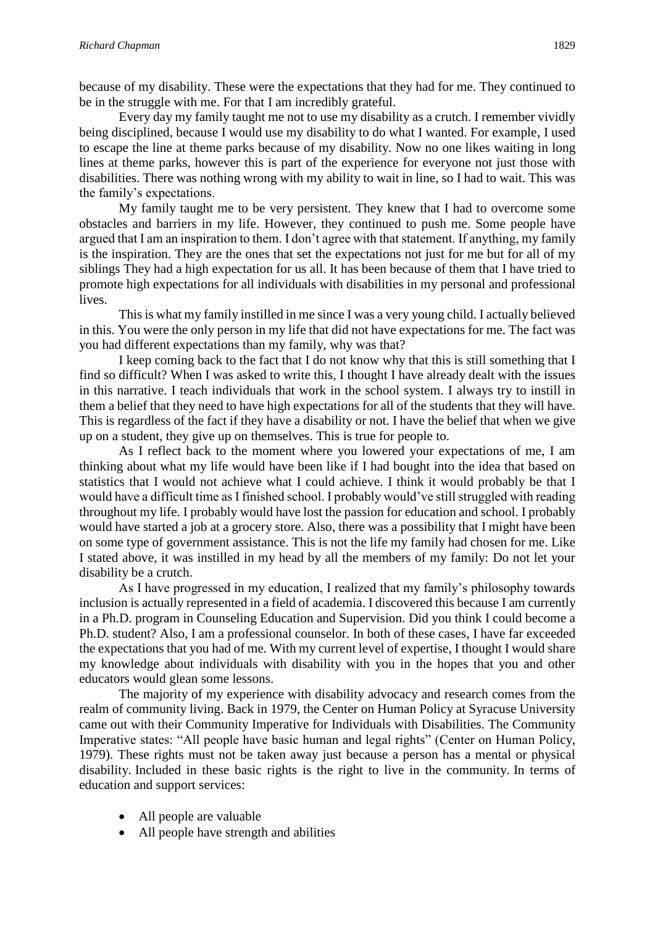because of my disability. These were the expectations that they had for me. They continued to be in the struggle with me. For that I am incredibly grateful.

Every day my family taught me not to use my disability as a crutch. I remember vividly being disciplined, because I would use my disability to do what I wanted. For example, I used to escape the line at theme parks because of my disability. Now no one likes waiting in long lines at theme parks, however this is part of the experience for everyone not just those with disabilities. There was nothing wrong with my ability to wait in line, so I had to wait. This was the family's expectations.

My family taught me to be very persistent. They knew that I had to overcome some obstacles and barriers in my life. However, they continued to push me. Some people have argued that I am an inspiration to them. I don't agree with that statement. If anything, my family is the inspiration. They are the ones that set the expectations not just for me but for all of my siblings They had a high expectation for us all. It has been because of them that I have tried to promote high expectations for all individuals with disabilities in my personal and professional lives.

This is what my family instilled in me since I was a very young child. I actually believed in this. You were the only person in my life that did not have expectations for me. The fact was you had different expectations than my family, why was that?

I keep coming back to the fact that I do not know why that this is still something that I find so difficult? When I was asked to write this, I thought I have already dealt with the issues in this narrative. I teach individuals that work in the school system. I always try to instill in them a belief that they need to have high expectations for all of the students that they will have. This is regardless of the fact if they have a disability or not. I have the belief that when we give up on a student, they give up on themselves. This is true for people to.

As I reflect back to the moment where you lowered your expectations of me, I am thinking about what my life would have been like if I had bought into the idea that based on statistics that I would not achieve what I could achieve. I think it would probably be that I would have a difficult time as I finished school. I probably would've still struggled with reading throughout my life. I probably would have lost the passion for education and school. I probably would have started a job at a grocery store. Also, there was a possibility that I might have been on some type of government assistance. This is not the life my family had chosen for me. Like I stated above, it was instilled in my head by all the members of my family: Do not let your disability be a crutch.

As I have progressed in my education, I realized that my family's philosophy towards inclusion is actually represented in a field of academia. I discovered this because I am currently in a Ph.D. program in Counseling Education and Supervision. Did you think I could become a Ph.D. student? Also, I am a professional counselor. In both of these cases, I have far exceeded the expectations that you had of me. With my current level of expertise, I thought I would share my knowledge about individuals with disability with you in the hopes that you and other educators would glean some lessons.

The majority of my experience with disability advocacy and research comes from the realm of community living. Back in 1979, the Center on Human Policy at Syracuse University came out with their Community Imperative for Individuals with Disabilities. The Community Imperative states: "All people have basic human and legal rights" (Center on Human Policy, 1979). These rights must not be taken away just because a person has a mental or physical disability. Included in these basic rights is the right to live in the community. In terms of education and support services:

- All people are valuable
- All people have strength and abilities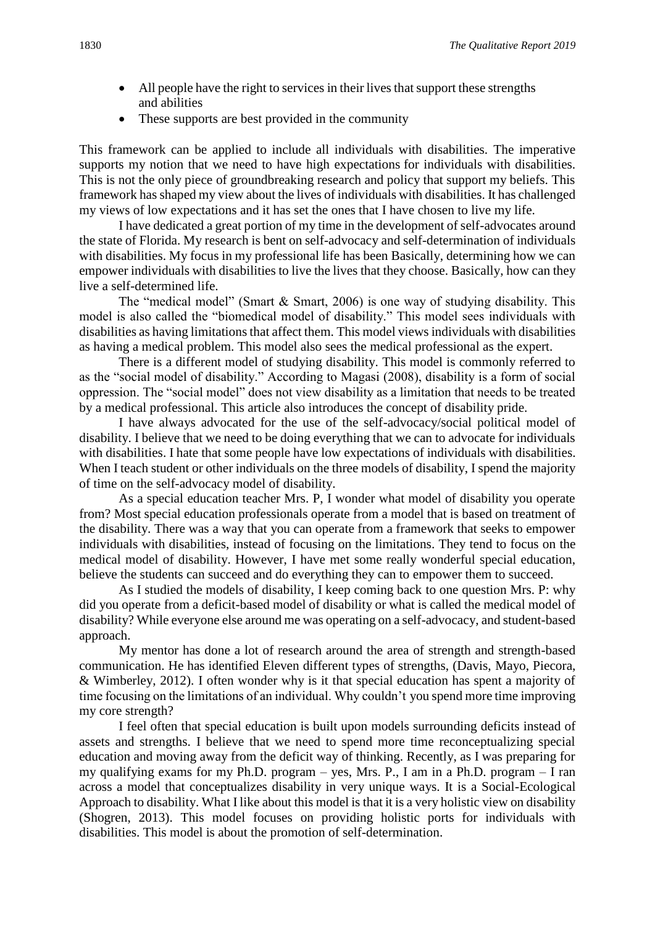- All people have the right to services in their lives that support these strengths and abilities
- These supports are best provided in the community

This framework can be applied to include all individuals with disabilities. The imperative supports my notion that we need to have high expectations for individuals with disabilities. This is not the only piece of groundbreaking research and policy that support my beliefs. This framework has shaped my view about the lives of individuals with disabilities. It has challenged my views of low expectations and it has set the ones that I have chosen to live my life.

I have dedicated a great portion of my time in the development of self-advocates around the state of Florida. My research is bent on self-advocacy and self-determination of individuals with disabilities. My focus in my professional life has been Basically, determining how we can empower individuals with disabilities to live the lives that they choose. Basically, how can they live a self-determined life.

The "medical model" (Smart & Smart, 2006) is one way of studying disability. This model is also called the "biomedical model of disability." This model sees individuals with disabilities as having limitations that affect them. This model views individuals with disabilities as having a medical problem. This model also sees the medical professional as the expert.

There is a different model of studying disability. This model is commonly referred to as the "social model of disability." According to Magasi (2008), disability is a form of social oppression. The "social model" does not view disability as a limitation that needs to be treated by a medical professional. This article also introduces the concept of disability pride.

I have always advocated for the use of the self-advocacy/social political model of disability. I believe that we need to be doing everything that we can to advocate for individuals with disabilities. I hate that some people have low expectations of individuals with disabilities. When I teach student or other individuals on the three models of disability, I spend the majority of time on the self-advocacy model of disability.

As a special education teacher Mrs. P, I wonder what model of disability you operate from? Most special education professionals operate from a model that is based on treatment of the disability. There was a way that you can operate from a framework that seeks to empower individuals with disabilities, instead of focusing on the limitations. They tend to focus on the medical model of disability. However, I have met some really wonderful special education, believe the students can succeed and do everything they can to empower them to succeed.

As I studied the models of disability, I keep coming back to one question Mrs. P: why did you operate from a deficit-based model of disability or what is called the medical model of disability? While everyone else around me was operating on a self-advocacy, and student-based approach.

My mentor has done a lot of research around the area of strength and strength-based communication. He has identified Eleven different types of strengths, (Davis, Mayo, Piecora, & Wimberley, 2012). I often wonder why is it that special education has spent a majority of time focusing on the limitations of an individual. Why couldn't you spend more time improving my core strength?

I feel often that special education is built upon models surrounding deficits instead of assets and strengths. I believe that we need to spend more time reconceptualizing special education and moving away from the deficit way of thinking. Recently, as I was preparing for my qualifying exams for my Ph.D. program – yes, Mrs. P., I am in a Ph.D. program – I ran across a model that conceptualizes disability in very unique ways. It is a Social-Ecological Approach to disability. What I like about this model is that it is a very holistic view on disability (Shogren, 2013). This model focuses on providing holistic ports for individuals with disabilities. This model is about the promotion of self-determination.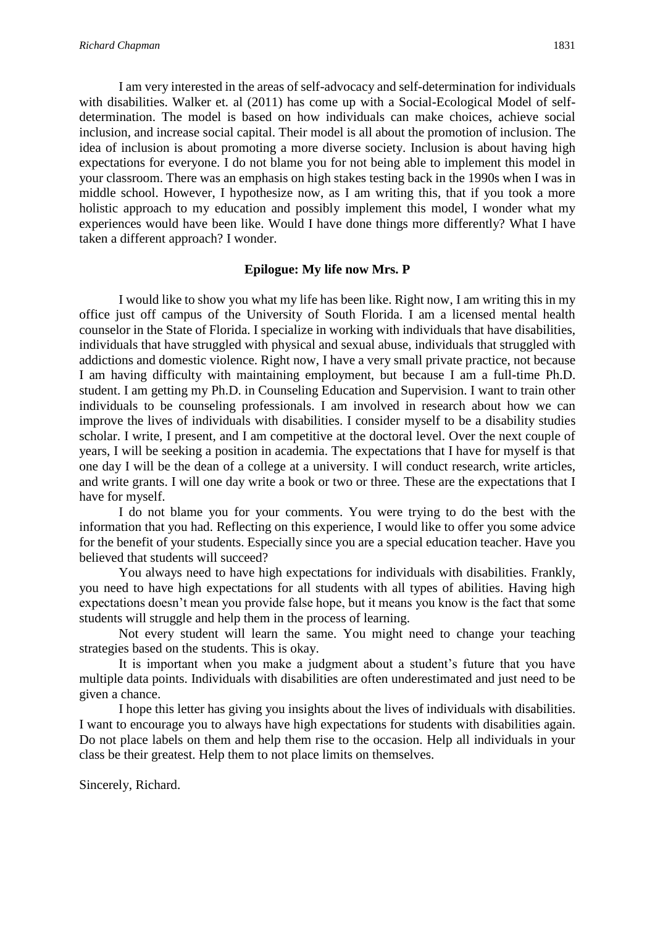I am very interested in the areas of self-advocacy and self-determination for individuals with disabilities. Walker et. al (2011) has come up with a Social-Ecological Model of selfdetermination. The model is based on how individuals can make choices, achieve social inclusion, and increase social capital. Their model is all about the promotion of inclusion. The idea of inclusion is about promoting a more diverse society. Inclusion is about having high expectations for everyone. I do not blame you for not being able to implement this model in your classroom. There was an emphasis on high stakes testing back in the 1990s when I was in middle school. However, I hypothesize now, as I am writing this, that if you took a more holistic approach to my education and possibly implement this model, I wonder what my experiences would have been like. Would I have done things more differently? What I have taken a different approach? I wonder.

#### **Epilogue: My life now Mrs. P**

I would like to show you what my life has been like. Right now, I am writing this in my office just off campus of the University of South Florida. I am a licensed mental health counselor in the State of Florida. I specialize in working with individuals that have disabilities, individuals that have struggled with physical and sexual abuse, individuals that struggled with addictions and domestic violence. Right now, I have a very small private practice, not because I am having difficulty with maintaining employment, but because I am a full-time Ph.D. student. I am getting my Ph.D. in Counseling Education and Supervision. I want to train other individuals to be counseling professionals. I am involved in research about how we can improve the lives of individuals with disabilities. I consider myself to be a disability studies scholar. I write, I present, and I am competitive at the doctoral level. Over the next couple of years, I will be seeking a position in academia. The expectations that I have for myself is that one day I will be the dean of a college at a university. I will conduct research, write articles, and write grants. I will one day write a book or two or three. These are the expectations that I have for myself.

I do not blame you for your comments. You were trying to do the best with the information that you had. Reflecting on this experience, I would like to offer you some advice for the benefit of your students. Especially since you are a special education teacher. Have you believed that students will succeed?

You always need to have high expectations for individuals with disabilities. Frankly, you need to have high expectations for all students with all types of abilities. Having high expectations doesn't mean you provide false hope, but it means you know is the fact that some students will struggle and help them in the process of learning.

Not every student will learn the same. You might need to change your teaching strategies based on the students. This is okay.

It is important when you make a judgment about a student's future that you have multiple data points. Individuals with disabilities are often underestimated and just need to be given a chance.

I hope this letter has giving you insights about the lives of individuals with disabilities. I want to encourage you to always have high expectations for students with disabilities again. Do not place labels on them and help them rise to the occasion. Help all individuals in your class be their greatest. Help them to not place limits on themselves.

Sincerely, Richard.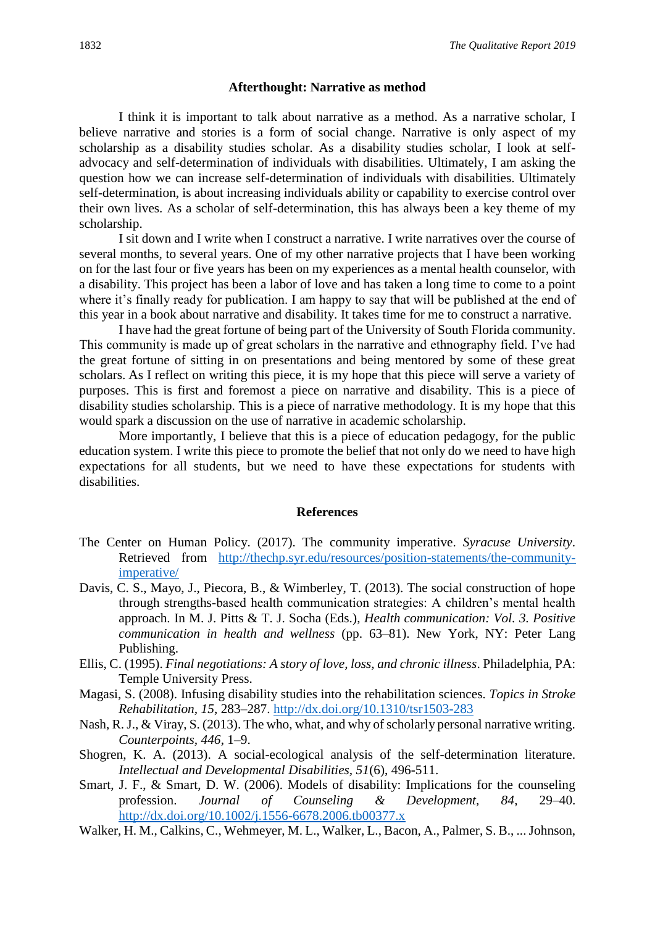#### **Afterthought: Narrative as method**

I think it is important to talk about narrative as a method. As a narrative scholar, I believe narrative and stories is a form of social change. Narrative is only aspect of my scholarship as a disability studies scholar. As a disability studies scholar, I look at selfadvocacy and self-determination of individuals with disabilities. Ultimately, I am asking the question how we can increase self-determination of individuals with disabilities. Ultimately self-determination, is about increasing individuals ability or capability to exercise control over their own lives. As a scholar of self-determination, this has always been a key theme of my scholarship.

I sit down and I write when I construct a narrative. I write narratives over the course of several months, to several years. One of my other narrative projects that I have been working on for the last four or five years has been on my experiences as a mental health counselor, with a disability. This project has been a labor of love and has taken a long time to come to a point where it's finally ready for publication. I am happy to say that will be published at the end of this year in a book about narrative and disability. It takes time for me to construct a narrative.

I have had the great fortune of being part of the University of South Florida community. This community is made up of great scholars in the narrative and ethnography field. I've had the great fortune of sitting in on presentations and being mentored by some of these great scholars. As I reflect on writing this piece, it is my hope that this piece will serve a variety of purposes. This is first and foremost a piece on narrative and disability. This is a piece of disability studies scholarship. This is a piece of narrative methodology. It is my hope that this would spark a discussion on the use of narrative in academic scholarship.

More importantly, I believe that this is a piece of education pedagogy, for the public education system. I write this piece to promote the belief that not only do we need to have high expectations for all students, but we need to have these expectations for students with disabilities.

#### **References**

- The Center on Human Policy. (2017). The community imperative. *Syracuse University*. Retrieved from [http://thechp.syr.edu/resources/position-statements/the-community](http://thechp.syr.edu/resources/position-statements/the-community-imperative/)[imperative/](http://thechp.syr.edu/resources/position-statements/the-community-imperative/)
- Davis, C. S., Mayo, J., Piecora, B., & Wimberley, T. (2013). The social construction of hope through strengths-based health communication strategies: A children's mental health approach. In M. J. Pitts & T. J. Socha (Eds.), *Health communication: Vol. 3. Positive communication in health and wellness* (pp. 63–81). New York, NY: Peter Lang Publishing.
- Ellis, C. (1995). *Final negotiations: A story of love, loss, and chronic illness*. Philadelphia, PA: Temple University Press.
- Magasi, S. (2008). Infusing disability studies into the rehabilitation sciences. *Topics in Stroke Rehabilitation, 15*, 283–287.<http://dx.doi.org/10.1310/tsr1503-283>
- Nash, R. J., & Viray, S. (2013). The who, what, and why of scholarly personal narrative writing. *Counterpoints, 446*, 1–9.
- Shogren, K. A. (2013). A social-ecological analysis of the self-determination literature. *Intellectual and Developmental Disabilities, 51*(6), 496-511.
- Smart, J. F., & Smart, D. W. (2006). Models of disability: Implications for the counseling profession. *Journal of Counseling & Development, 84*, 29–40. <http://dx.doi.org/10.1002/j.1556-6678.2006.tb00377.x>
- Walker, H. M., Calkins, C., Wehmeyer, M. L., Walker, L., Bacon, A., Palmer, S. B., ... Johnson,